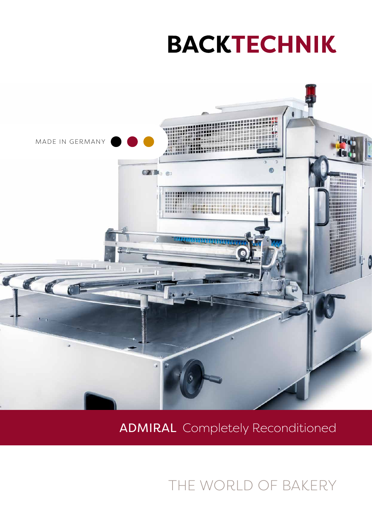# **BACKTECHNIK**



### ADMIRAL Completely Reconditioned

THE WORLD OF BAKERY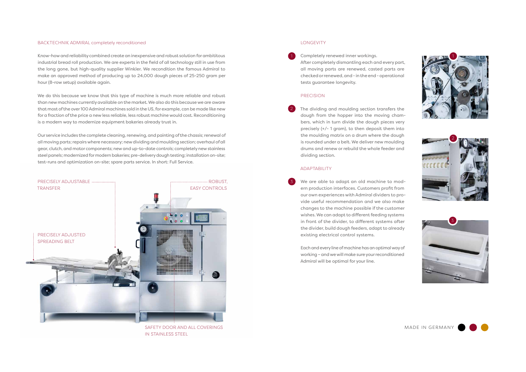MADE IN GERMANY



#### BACKTECHNIK ADMIRAL completely reconditioned

Know-how and reliability combined create an inexpensive and robust solution for ambititous industrial bread roll production. We are experts in the field of all technology still in use from the long gone, but high-quality supplier Winkler. We recondition the famous Admiral to make an approved method of producing up to 24,000 dough pieces of 25-250 gram per hour (8-row setup) available again.

We do this because we know that this type of machine is much more reliable and robust than new machines currently available on the market. We also do this because we are aware that most of the over 100 Admiral machines sold in the US, for example, can be made like new for a fraction of the price a new less reliable, less robust machine would cost. Reconditioning is a modern way to modernize equipment bakeries already trust in.

Our service includes the complete cleaning, renewing, and painting of the chassis; renewal of all moving parts; repairs where necessary; new dividing and moulding section; overhaul of all gear, clutch, and motor components; new and up-to-date controls; completely new stainless steel panels; modernized for modern bakeries; pre-delivery dough testing; installation on-site; test-runs and optimization on-site; spare parts service. In short: Full Service.

1

2

3

Completely renewed inner workings. After completely dismantling each and every part, all moving parts are renewed, casted parts are checked or renewed, and - in the end - operational tests guarantee longevity.

#### PRECISION

The dividing and moulding section transfers the dough from the hopper into the moving chambers, which in turn divide the dough pieces very precisely (+/- 1 gram), to then deposit them into the moulding matrix on a drum where the dough is rounded under a belt. We deliver new moulding drums and renew or rebuild the whole feeder and dividing section.

#### ADAPTABILITY

We are able to adapt an old machine to modern production interfaces. Customers profit from our own experiences with Admiral dividers to provide useful recommendation and we also make changes to the machine possible if the customer wishes. We can adapt to different feeding systems in front of the divider, to different systems after the divider, build dough feeders, adapt to already existing electrical control systems.

Each and every line of machine has an optimal way of working – and we will make sure your reconditioned Admiral will be optimal for your line.









SAFETY DOOR AND ALL COVERINGS IN STAINLESS STEEL

#### **LONGEVITY**